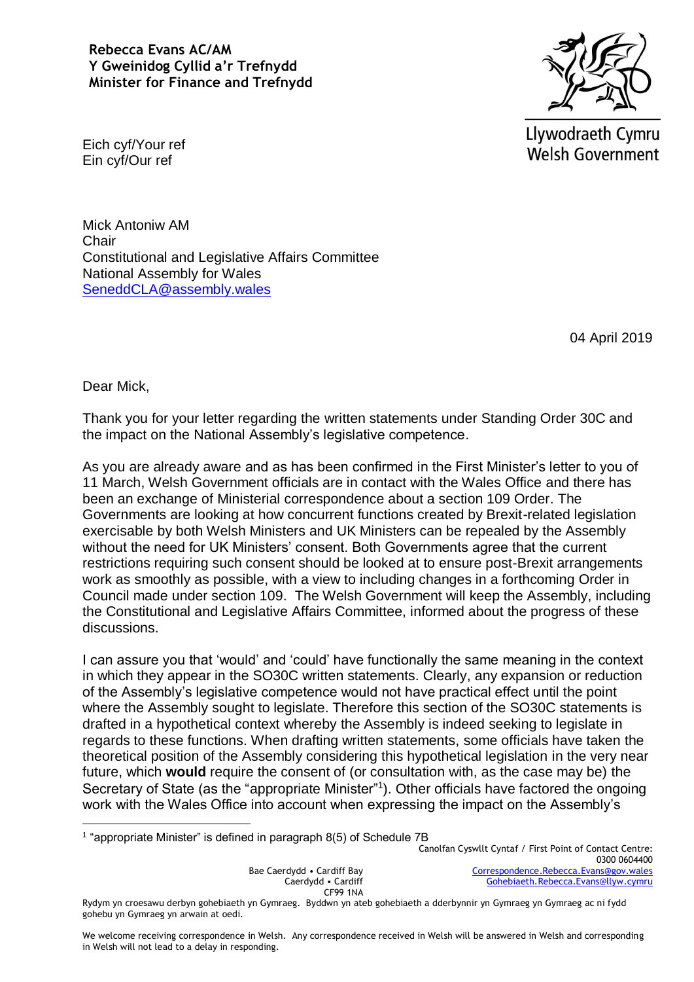## **Rebecca Evans AC/AM Y Gweinidog Cyllid a'r Trefnydd Minister for Finance and Trefnydd**



Llywodraeth Cymru **Welsh Government** 

Eich cyf/Your ref Ein cyf/Our ref

Mick Antoniw AM Chair Constitutional and Legislative Affairs Committee National Assembly for Wales [SeneddCLA@assembly.wales](mailto:SeneddCLA@assembly.wales)

04 April 2019

Dear Mick,

<u>.</u>

Thank you for your letter regarding the written statements under Standing Order 30C and the impact on the National Assembly's legislative competence.

As you are already aware and as has been confirmed in the First Minister's letter to you of 11 March, Welsh Government officials are in contact with the Wales Office and there has been an exchange of Ministerial correspondence about a section 109 Order. The Governments are looking at how concurrent functions created by Brexit-related legislation exercisable by both Welsh Ministers and UK Ministers can be repealed by the Assembly without the need for UK Ministers' consent. Both Governments agree that the current restrictions requiring such consent should be looked at to ensure post-Brexit arrangements work as smoothly as possible, with a view to including changes in a forthcoming Order in Council made under section 109. The Welsh Government will keep the Assembly, including the Constitutional and Legislative Affairs Committee, informed about the progress of these discussions.

I can assure you that 'would' and 'could' have functionally the same meaning in the context in which they appear in the SO30C written statements. Clearly, any expansion or reduction of the Assembly's legislative competence would not have practical effect until the point where the Assembly sought to legislate. Therefore this section of the SO30C statements is drafted in a hypothetical context whereby the Assembly is indeed seeking to legislate in regards to these functions. When drafting written statements, some officials have taken the theoretical position of the Assembly considering this hypothetical legislation in the very near future, which **would** require the consent of (or consultation with, as the case may be) the Secretary of State (as the "appropriate Minister"1). Other officials have factored the ongoing work with the Wales Office into account when expressing the impact on the Assembly's

<sup>1</sup> "appropriate Minister" is defined in paragraph 8(5) of Schedule 7B

Bae Caerdydd • Cardiff Bay Caerdydd • Cardiff CF99 1NA Canolfan Cyswllt Cyntaf / First Point of Contact Centre: 0300 0604400 [Correspondence.Rebecca.Evans@gov.wales](mailto:Correspondence.Rebecca.Evans@gov.wales) [Gohebiaeth.Rebecca.Evans@llyw.cymru](mailto:Gohebiaeth.Rebecca.Evans@llyw.cymru)

Rydym yn croesawu derbyn gohebiaeth yn Gymraeg. Byddwn yn ateb gohebiaeth a dderbynnir yn Gymraeg yn Gymraeg ac ni fydd gohebu yn Gymraeg yn arwain at oedi.